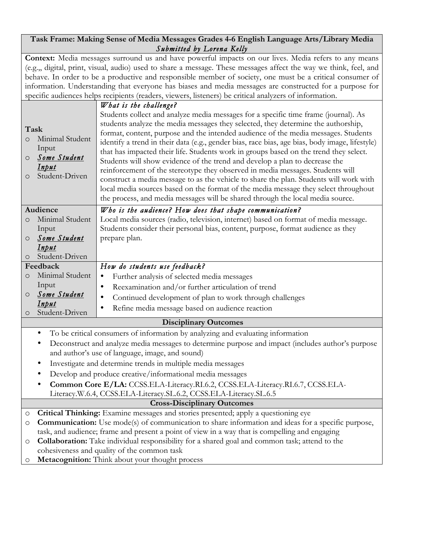## **Task Frame: Making Sense of Media Messages Grades 4-6 English Language Arts/Library Media** *Submitted by Lorena Kelly*

Context: Media messages surround us and have powerful impacts on our lives. Media refers to any means (e.g.,, digital, print, visual, audio) used to share a message. These messages affect the way we think, feel, and behave. In order to be a productive and responsible member of society, one must be a critical consumer of information. Understanding that everyone has biases and media messages are constructed for a purpose for specific audiences helps recipients (readers, viewers, listeners) be critical analyzers of information.

| Task<br>$\circ$<br>$\circ$<br>$\circ$                                           | Minimal Student<br>Input<br>Some Student<br>Input<br>Student-Driven                                                                           | What is the challenge?<br>Students collect and analyze media messages for a specific time frame (journal). As<br>students analyze the media messages they selected, they determine the authorship,<br>format, content, purpose and the intended audience of the media messages. Students<br>identify a trend in their data (e.g., gender bias, race bias, age bias, body image, lifestyle)<br>that has impacted their life. Students work in groups based on the trend they select.<br>Students will show evidence of the trend and develop a plan to decrease the<br>reinforcement of the stereotype they observed in media messages. Students will<br>construct a media message to as the vehicle to share the plan. Students will work with<br>local media sources based on the format of the media message they select throughout<br>the process, and media messages will be shared through the local media source. |  |
|---------------------------------------------------------------------------------|-----------------------------------------------------------------------------------------------------------------------------------------------|-------------------------------------------------------------------------------------------------------------------------------------------------------------------------------------------------------------------------------------------------------------------------------------------------------------------------------------------------------------------------------------------------------------------------------------------------------------------------------------------------------------------------------------------------------------------------------------------------------------------------------------------------------------------------------------------------------------------------------------------------------------------------------------------------------------------------------------------------------------------------------------------------------------------------|--|
|                                                                                 | Audience<br>Who is the audience? How does that shape communication?                                                                           |                                                                                                                                                                                                                                                                                                                                                                                                                                                                                                                                                                                                                                                                                                                                                                                                                                                                                                                         |  |
| $\circ$                                                                         | Minimal Student                                                                                                                               | Local media sources (radio, television, internet) based on format of media message.                                                                                                                                                                                                                                                                                                                                                                                                                                                                                                                                                                                                                                                                                                                                                                                                                                     |  |
|                                                                                 | Input                                                                                                                                         | Students consider their personal bias, content, purpose, format audience as they                                                                                                                                                                                                                                                                                                                                                                                                                                                                                                                                                                                                                                                                                                                                                                                                                                        |  |
| O                                                                               | Some Student<br><u>Input</u>                                                                                                                  | prepare plan.                                                                                                                                                                                                                                                                                                                                                                                                                                                                                                                                                                                                                                                                                                                                                                                                                                                                                                           |  |
| O                                                                               | Student-Driven                                                                                                                                |                                                                                                                                                                                                                                                                                                                                                                                                                                                                                                                                                                                                                                                                                                                                                                                                                                                                                                                         |  |
| Feedback                                                                        |                                                                                                                                               | How do students use feedback?                                                                                                                                                                                                                                                                                                                                                                                                                                                                                                                                                                                                                                                                                                                                                                                                                                                                                           |  |
| $\circ$                                                                         | Minimal Student                                                                                                                               | Further analysis of selected media messages<br>$\bullet$                                                                                                                                                                                                                                                                                                                                                                                                                                                                                                                                                                                                                                                                                                                                                                                                                                                                |  |
|                                                                                 | Input                                                                                                                                         | Reexamination and/or further articulation of trend<br>$\bullet$                                                                                                                                                                                                                                                                                                                                                                                                                                                                                                                                                                                                                                                                                                                                                                                                                                                         |  |
| $\circ$                                                                         | Some Student                                                                                                                                  | Continued development of plan to work through challenges<br>$\bullet$                                                                                                                                                                                                                                                                                                                                                                                                                                                                                                                                                                                                                                                                                                                                                                                                                                                   |  |
|                                                                                 | <u>Input</u><br>Student-Driven                                                                                                                | Refine media message based on audience reaction<br>$\bullet$                                                                                                                                                                                                                                                                                                                                                                                                                                                                                                                                                                                                                                                                                                                                                                                                                                                            |  |
| $\circ$                                                                         |                                                                                                                                               | <b>Disciplinary Outcomes</b>                                                                                                                                                                                                                                                                                                                                                                                                                                                                                                                                                                                                                                                                                                                                                                                                                                                                                            |  |
| To be critical consumers of information by analyzing and evaluating information |                                                                                                                                               |                                                                                                                                                                                                                                                                                                                                                                                                                                                                                                                                                                                                                                                                                                                                                                                                                                                                                                                         |  |
|                                                                                 | Deconstruct and analyze media messages to determine purpose and impact (includes author's purpose                                             |                                                                                                                                                                                                                                                                                                                                                                                                                                                                                                                                                                                                                                                                                                                                                                                                                                                                                                                         |  |
|                                                                                 | and author's use of language, image, and sound)                                                                                               |                                                                                                                                                                                                                                                                                                                                                                                                                                                                                                                                                                                                                                                                                                                                                                                                                                                                                                                         |  |
|                                                                                 | Investigate and determine trends in multiple media messages<br>$\bullet$                                                                      |                                                                                                                                                                                                                                                                                                                                                                                                                                                                                                                                                                                                                                                                                                                                                                                                                                                                                                                         |  |
|                                                                                 | Develop and produce creative/informational media messages                                                                                     |                                                                                                                                                                                                                                                                                                                                                                                                                                                                                                                                                                                                                                                                                                                                                                                                                                                                                                                         |  |
|                                                                                 | Common Core E/LA: CCSS.ELA-Literacy.RI.6.2, CCSS.ELA-Literacy.RI.6.7, CCSS.ELA-                                                               |                                                                                                                                                                                                                                                                                                                                                                                                                                                                                                                                                                                                                                                                                                                                                                                                                                                                                                                         |  |
|                                                                                 |                                                                                                                                               | Literacy.W.6.4, CCSS.ELA-Literacy.SL.6.2, CCSS.ELA-Literacy.SL.6.5                                                                                                                                                                                                                                                                                                                                                                                                                                                                                                                                                                                                                                                                                                                                                                                                                                                      |  |
| <b>Cross-Disciplinary Outcomes</b>                                              |                                                                                                                                               |                                                                                                                                                                                                                                                                                                                                                                                                                                                                                                                                                                                                                                                                                                                                                                                                                                                                                                                         |  |
| O                                                                               | Critical Thinking: Examine messages and stories presented; apply a questioning eye                                                            |                                                                                                                                                                                                                                                                                                                                                                                                                                                                                                                                                                                                                                                                                                                                                                                                                                                                                                                         |  |
| O                                                                               | <b>Communication:</b> Use mode(s) of communication to share information and ideas for a specific purpose,                                     |                                                                                                                                                                                                                                                                                                                                                                                                                                                                                                                                                                                                                                                                                                                                                                                                                                                                                                                         |  |
|                                                                                 |                                                                                                                                               | task, and audience; frame and present a point of view in a way that is compelling and engaging                                                                                                                                                                                                                                                                                                                                                                                                                                                                                                                                                                                                                                                                                                                                                                                                                          |  |
| O                                                                               | Collaboration: Take individual responsibility for a shared goal and common task; attend to the<br>cohesiveness and quality of the common task |                                                                                                                                                                                                                                                                                                                                                                                                                                                                                                                                                                                                                                                                                                                                                                                                                                                                                                                         |  |
| O                                                                               | Metacognition: Think about your thought process                                                                                               |                                                                                                                                                                                                                                                                                                                                                                                                                                                                                                                                                                                                                                                                                                                                                                                                                                                                                                                         |  |
|                                                                                 |                                                                                                                                               |                                                                                                                                                                                                                                                                                                                                                                                                                                                                                                                                                                                                                                                                                                                                                                                                                                                                                                                         |  |